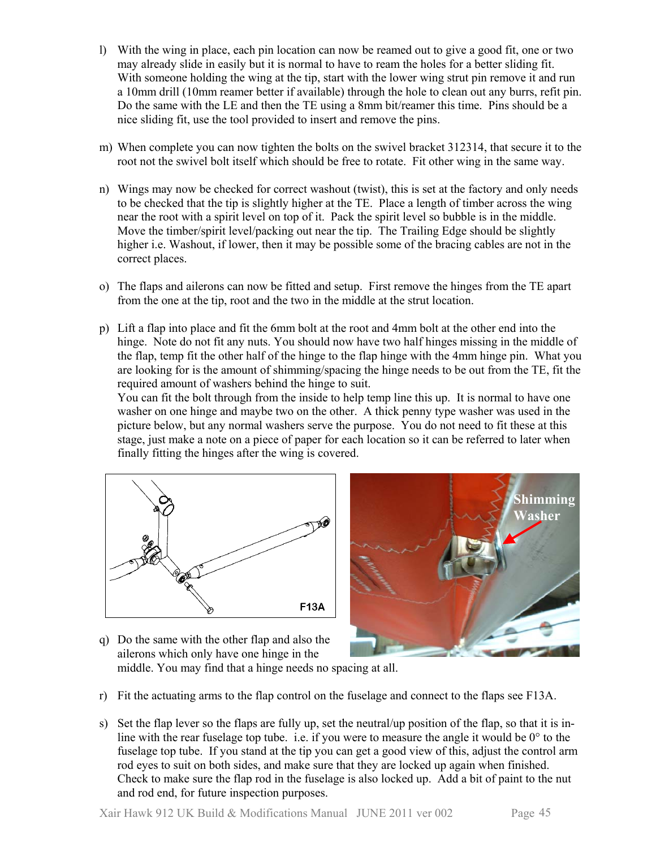- l) With the wing in place, each pin location can now be reamed out to give a good fit, one or two may already slide in easily but it is normal to have to ream the holes for a better sliding fit. With someone holding the wing at the tip, start with the lower wing strut pin remove it and run a 10mm drill (10mm reamer better if available) through the hole to clean out any burrs, refit pin. Do the same with the LE and then the TE using a 8mm bit/reamer this time. Pins should be a nice sliding fit, use the tool provided to insert and remove the pins.
- m) When complete you can now tighten the bolts on the swivel bracket 312314, that secure it to the root not the swivel bolt itself which should be free to rotate. Fit other wing in the same way.
- n) Wings may now be checked for correct washout (twist), this is set at the factory and only needs to be checked that the tip is slightly higher at the TE. Place a length of timber across the wing near the root with a spirit level on top of it. Pack the spirit level so bubble is in the middle. Move the timber/spirit level/packing out near the tip. The Trailing Edge should be slightly higher i.e. Washout, if lower, then it may be possible some of the bracing cables are not in the correct places.
- o) The flaps and ailerons can now be fitted and setup. First remove the hinges from the TE apart from the one at the tip, root and the two in the middle at the strut location.
- p) Lift a flap into place and fit the 6mm bolt at the root and 4mm bolt at the other end into the hinge. Note do not fit any nuts. You should now have two half hinges missing in the middle of the flap, temp fit the other half of the hinge to the flap hinge with the 4mm hinge pin. What you are looking for is the amount of shimming/spacing the hinge needs to be out from the TE, fit the required amount of washers behind the hinge to suit.

You can fit the bolt through from the inside to help temp line this up. It is normal to have one washer on one hinge and maybe two on the other. A thick penny type washer was used in the picture below, but any normal washers serve the purpose. You do not need to fit these at this stage, just make a note on a piece of paper for each location so it can be referred to later when finally fitting the hinges after the wing is covered.





- q) Do the same with the other flap and also the ailerons which only have one hinge in the middle. You may find that a hinge needs no spacing at all.
- r) Fit the actuating arms to the flap control on the fuselage and connect to the flaps see F13A.
- s) Set the flap lever so the flaps are fully up, set the neutral/up position of the flap, so that it is inline with the rear fuselage top tube. i.e. if you were to measure the angle it would be  $0^{\circ}$  to the fuselage top tube. If you stand at the tip you can get a good view of this, adjust the control arm rod eyes to suit on both sides, and make sure that they are locked up again when finished. Check to make sure the flap rod in the fuselage is also locked up. Add a bit of paint to the nut and rod end, for future inspection purposes.

Xair Hawk 912 UK Build & Modifications Manual JUNE 2011 ver 002 Page 45